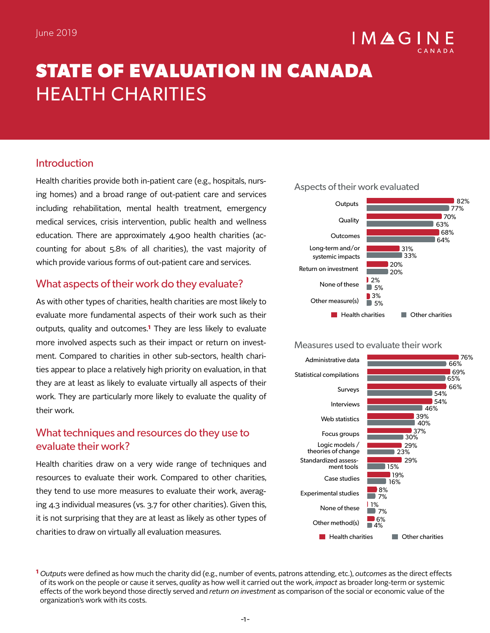# IMAGI

## **STATE OF EVALUATION IN CANADA**  HEALTH CHARITIES

## Introduction

Health charities provide both in-patient care (e.g., hospitals, nursing homes) and a broad range of out-patient care and services including rehabilitation, mental health treatment, emergency medical services, crisis intervention, public health and wellness education. There are approximately 4,900 health charities (accounting for about 5.8% of all charities), the vast majority of which provide various forms of out-patient care and services.

## What aspects of their work do they evaluate?

As with other types of charities, health charities are most likely to evaluate more fundamental aspects of their work such as their outputs, quality and outcomes.**1** They are less likely to evaluate more involved aspects such as their impact or return on investment. Compared to charities in other sub-sectors, health charities appear to place a relatively high priority on evaluation, in that they are at least as likely to evaluate virtually all aspects of their work. They are particularly more likely to evaluate the quality of their work.

## What techniques and resources do they use to evaluate their work?

Health charities draw on a very wide range of techniques and resources to evaluate their work. Compared to other charities, they tend to use more measures to evaluate their work, averaging 4.3 individual measures (vs. 3.7 for other charities). Given this, it is not surprising that they are at least as likely as other types of charities to draw on virtually all evaluation measures.





#### Measures used to evaluate their work



**1** *Outputs* were defined as how much the charity did (e.g., number of events, patrons attending, etc.), *outcomes* as the direct effects of its work on the people or cause it serves, *quality* as how well it carried out the work, *impact* as broader long-term or systemic effects of the work beyond those directly served and *return on investment* as comparison of the social or economic value of the organization's work with its costs.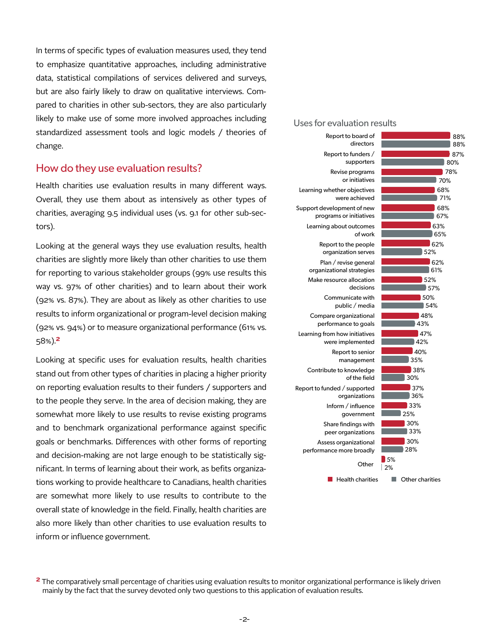In terms of specific types of evaluation measures used, they tend to emphasize quantitative approaches, including administrative data, statistical compilations of services delivered and surveys, but are also fairly likely to draw on qualitative interviews. Compared to charities in other sub-sectors, they are also particularly likely to make use of some more involved approaches including standardized assessment tools and logic models / theories of change.

#### How do they use evaluation results?

Health charities use evaluation results in many different ways. Overall, they use them about as intensively as other types of charities, averaging 9.5 individual uses (vs. 9.1 for other sub-sectors).

Looking at the general ways they use evaluation results, health charities are slightly more likely than other charities to use them for reporting to various stakeholder groups (99% use results this way vs. 97% of other charities) and to learn about their work (92% vs. 87%). They are about as likely as other charities to use results to inform organizational or program-level decision making (92% vs. 94%) or to measure organizational performance (61% vs. 58%).**2**

Looking at specific uses for evaluation results, health charities stand out from other types of charities in placing a higher priority on reporting evaluation results to their funders / supporters and to the people they serve. In the area of decision making, they are somewhat more likely to use results to revise existing programs and to benchmark organizational performance against specific goals or benchmarks. Differences with other forms of reporting and decision-making are not large enough to be statistically significant. In terms of learning about their work, as befits organizations working to provide healthcare to Canadians, health charities are somewhat more likely to use results to contribute to the overall state of knowledge in the field. Finally, health charities are also more likely than other charities to use evaluation results to inform or influence government.

Uses for evaluation results



**<sup>2</sup>** The comparatively small percentage of charities using evaluation results to monitor organizational performance is likely driven mainly by the fact that the survey devoted only two questions to this application of evaluation results.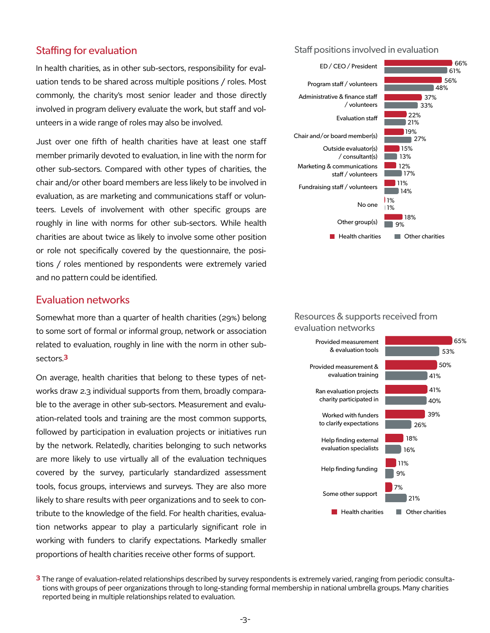#### Staffing for evaluation

In health charities, as in other sub-sectors, responsibility for evaluation tends to be shared across multiple positions / roles. Most commonly, the charity's most senior leader and those directly involved in program delivery evaluate the work, but staff and volunteers in a wide range of roles may also be involved.

Just over one fifth of health charities have at least one staff member primarily devoted to evaluation, in line with the norm for other sub-sectors. Compared with other types of charities, the chair and/or other board members are less likely to be involved in evaluation, as are marketing and communications staff or volunteers. Levels of involvement with other specific groups are roughly in line with norms for other sub-sectors. While health charities are about twice as likely to involve some other position or role not specifically covered by the questionnaire, the positions / roles mentioned by respondents were extremely varied and no pattern could be identified.

## Evaluation networks

Somewhat more than a quarter of health charities (29%) belong to some sort of formal or informal group, network or association related to evaluation, roughly in line with the norm in other subsectors.**3**

On average, health charities that belong to these types of networks draw 2.3 individual supports from them, broadly comparable to the average in other sub-sectors. Measurement and evaluation-related tools and training are the most common supports, followed by participation in evaluation projects or initiatives run by the network. Relatedly, charities belonging to such networks are more likely to use virtually all of the evaluation techniques covered by the survey, particularly standardized assessment tools, focus groups, interviews and surveys. They are also more likely to share results with peer organizations and to seek to contribute to the knowledge of the field. For health charities, evaluation networks appear to play a particularly significant role in working with funders to clarify expectations. Markedly smaller proportions of health charities receive other forms of support.

Staff positions involved in evaluation



#### Resources & supports received from evaluation networks



**<sup>3</sup>** The range of evaluation-related relationships described by survey respondents is extremely varied, ranging from periodic consultations with groups of peer organizations through to long-standing formal membership in national umbrella groups. Many charities reported being in multiple relationships related to evaluation.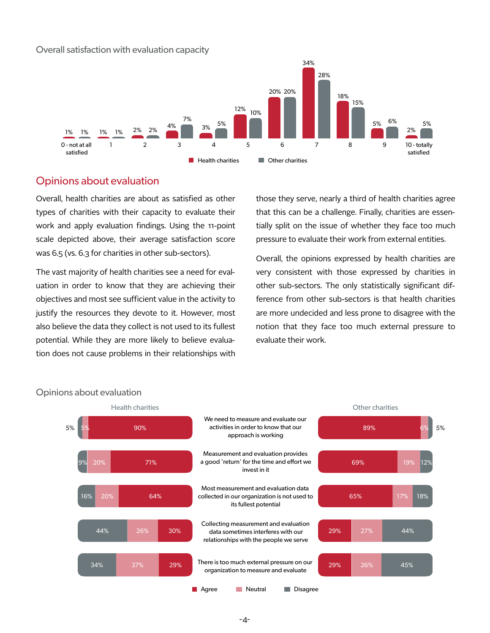#### Overall satisfaction with evaluation capacity



#### Opinions about evaluation

Overall, health charities are about as satisfied as other types of charities with their capacity to evaluate their work and apply evaluation findings. Using the 11-point scale depicted above, their average satisfaction score was 6.5 (vs. 6.3 for charities in other sub-sectors).

The vast majority of health charities see a need for evaluation in order to know that they are achieving their objectives and most see sufficient value in the activity to justify the resources they devote to it. However, most also believe the data they collect is not used to its fullest potential. While they are more likely to believe evaluation does not cause problems in their relationships with

those they serve, nearly a third of health charities agree that this can be a challenge. Finally, charities are essentially split on the issue of whether they face too much pressure to evaluate their work from external entities.

Overall, the opinions expressed by health charities are very consistent with those expressed by charities in other sub-sectors. The only statistically significant difference from other sub-sectors is that health charities are more undecided and less prone to disagree with the notion that they face too much external pressure to evaluate their work.



#### Opinions about evaluation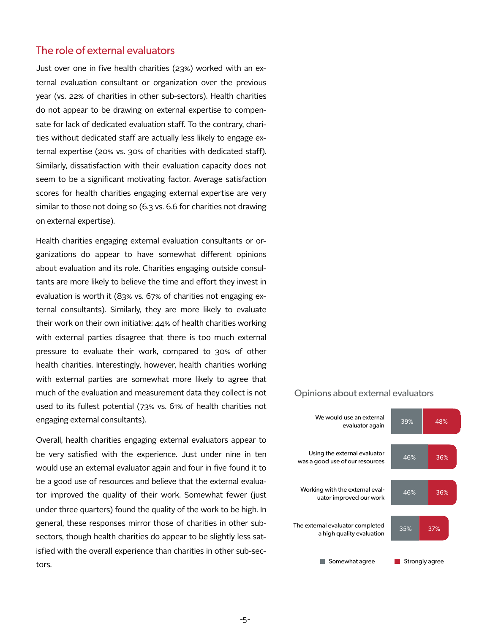#### The role of external evaluators

Just over one in five health charities (23%) worked with an external evaluation consultant or organization over the previous year (vs. 22% of charities in other sub-sectors). Health charities do not appear to be drawing on external expertise to compensate for lack of dedicated evaluation staff. To the contrary, charities without dedicated staff are actually less likely to engage external expertise (20% vs. 30% of charities with dedicated staff). Similarly, dissatisfaction with their evaluation capacity does not seem to be a significant motivating factor. Average satisfaction scores for health charities engaging external expertise are very similar to those not doing so (6.3 vs. 6.6 for charities not drawing on external expertise).

Health charities engaging external evaluation consultants or organizations do appear to have somewhat different opinions about evaluation and its role. Charities engaging outside consultants are more likely to believe the time and effort they invest in evaluation is worth it (83% vs. 67% of charities not engaging external consultants). Similarly, they are more likely to evaluate their work on their own initiative: 44% of health charities working with external parties disagree that there is too much external pressure to evaluate their work, compared to 30% of other health charities. Interestingly, however, health charities working with external parties are somewhat more likely to agree that much of the evaluation and measurement data they collect is not used to its fullest potential (73% vs. 61% of health charities not engaging external consultants).

Overall, health charities engaging external evaluators appear to be very satisfied with the experience. Just under nine in ten would use an external evaluator again and four in five found it to be a good use of resources and believe that the external evaluator improved the quality of their work. Somewhat fewer (just under three quarters) found the quality of the work to be high. In general, these responses mirror those of charities in other subsectors, though health charities do appear to be slightly less satisfied with the overall experience than charities in other sub-sectors.

#### Opinions about external evaluators

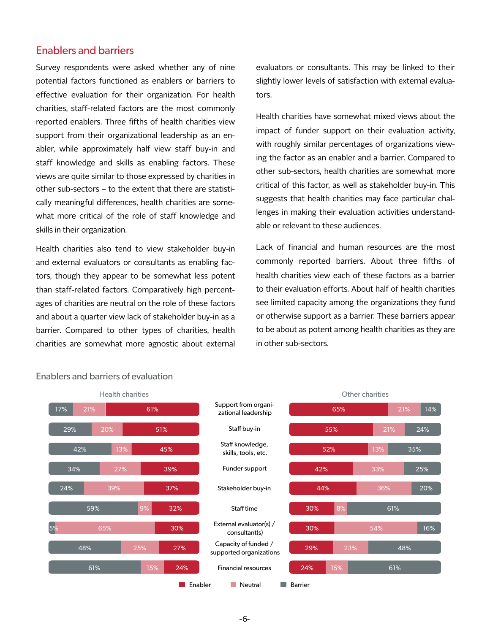### Enablers and barriers

Survey respondents were asked whether any of nine potential factors functioned as enablers or barriers to effective evaluation for their organization. For health charities, staff-related factors are the most commonly reported enablers. Three fifths of health charities view support from their organizational leadership as an enabler, while approximately half view staff buy-in and staff knowledge and skills as enabling factors. These views are quite similar to those expressed by charities in other sub-sectors – to the extent that there are statistically meaningful differences, health charities are somewhat more critical of the role of staff knowledge and skills in their organization.

Health charities also tend to view stakeholder buy-in and external evaluators or consultants as enabling factors, though they appear to be somewhat less potent than staff-related factors. Comparatively high percentages of charities are neutral on the role of these factors and about a quarter view lack of stakeholder buy-in as a barrier. Compared to other types of charities, health charities are somewhat more agnostic about external

evaluators or consultants. This may be linked to their slightly lower levels of satisfaction with external evaluators.

Health charities have somewhat mixed views about the impact of funder support on their evaluation activity, with roughly similar percentages of organizations viewing the factor as an enabler and a barrier. Compared to other sub-sectors, health charities are somewhat more critical of this factor, as well as stakeholder buy-in. This suggests that health charities may face particular challenges in making their evaluation activities understandable or relevant to these audiences.

Lack of financial and human resources are the most commonly reported barriers. About three fifths of health charities view each of these factors as a barrier to their evaluation efforts. About half of health charities see limited capacity among the organizations they fund or otherwise support as a barrier. These barriers appear to be about as potent among health charities as they are in other sub-sectors.



#### Enablers and barriers of evaluation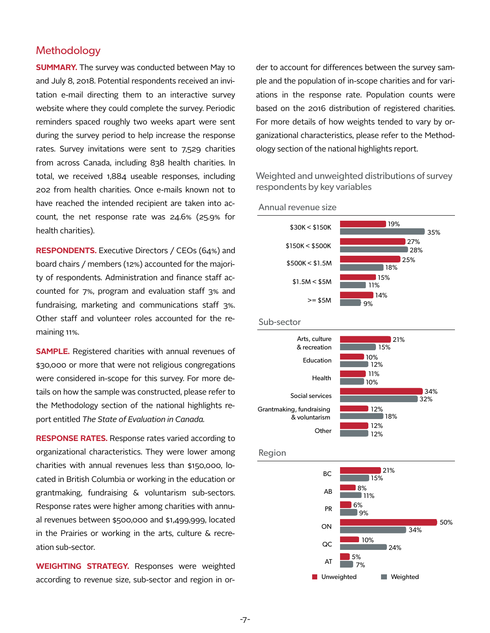#### **Methodology**

**SUMMARY.** The survey was conducted between May 10 and July 8, 2018. Potential respondents received an invitation e-mail directing them to an interactive survey website where they could complete the survey. Periodic reminders spaced roughly two weeks apart were sent during the survey period to help increase the response rates. Survey invitations were sent to 7,529 charities from across Canada, including 838 health charities. In total, we received 1,884 useable responses, including 202 from health charities. Once e-mails known not to have reached the intended recipient are taken into account, the net response rate was 24.6% (25.9% for health charities).

**RESPONDENTS.** Executive Directors / CEOs (64%) and board chairs / members (12%) accounted for the majority of respondents. Administration and finance staff accounted for 7%, program and evaluation staff 3% and fundraising, marketing and communications staff 3%. Other staff and volunteer roles accounted for the remaining 11%.

**SAMPLE.** Registered charities with annual revenues of \$30,000 or more that were not religious congregations were considered in-scope for this survey. For more details on how the sample was constructed, please refer to the Methodology section of the national highlights report entitled *The State of Evaluation in Canada.* 

**RESPONSE RATES.** Response rates varied according to organizational characteristics. They were lower among charities with annual revenues less than \$150,000, located in British Columbia or working in the education or grantmaking, fundraising & voluntarism sub-sectors. Response rates were higher among charities with annual revenues between \$500,000 and \$1,499,999, located in the Prairies or working in the arts, culture & recreation sub-sector.

**WEIGHTING STRATEGY.** Responses were weighted according to revenue size, sub-sector and region in order to account for differences between the survey sample and the population of in-scope charities and for variations in the response rate. Population counts were based on the 2016 distribution of registered charities. For more details of how weights tended to vary by organizational characteristics, please refer to the Methodology section of the national highlights report.

Weighted and unweighted distributions of survey respondents by key variables



Annual revenue size